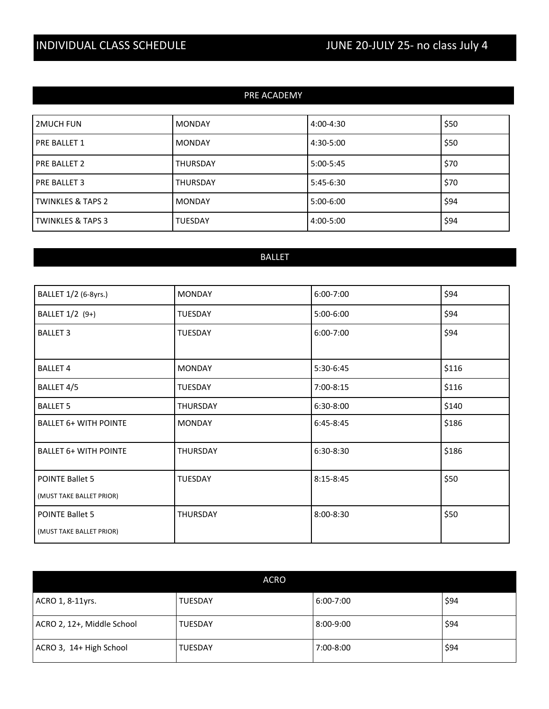| PRE ACADEMY                  |                 |             |      |
|------------------------------|-----------------|-------------|------|
|                              |                 |             |      |
| <b>2MUCH FUN</b>             | <b>MONDAY</b>   | 4:00-4:30   | \$50 |
| <b>PRE BALLET 1</b>          | <b>MONDAY</b>   | 4:30-5:00   | \$50 |
| <b>PRE BALLET 2</b>          | <b>THURSDAY</b> | $5:00-5:45$ | \$70 |
| <b>PRE BALLET 3</b>          | <b>THURSDAY</b> | 5:45-6:30   | \$70 |
| <b>TWINKLES &amp; TAPS 2</b> | <b>MONDAY</b>   | $5:00-6:00$ | \$94 |
| <b>TWINKLES &amp; TAPS 3</b> | <b>TUESDAY</b>  | 4:00-5:00   | \$94 |

## BALLET

| BALLET 1/2 (6-8yrs.)         | <b>MONDAY</b>   | 6:00-7:00     | \$94  |
|------------------------------|-----------------|---------------|-------|
| BALLET 1/2 (9+)              | <b>TUESDAY</b>  | 5:00-6:00     | \$94  |
| <b>BALLET 3</b>              | <b>TUESDAY</b>  | 6:00-7:00     | \$94  |
|                              |                 |               |       |
| <b>BALLET 4</b>              | <b>MONDAY</b>   | 5:30-6:45     | \$116 |
| BALLET 4/5                   | TUESDAY         | 7:00-8:15     | \$116 |
| <b>BALLET 5</b>              | <b>THURSDAY</b> | 6:30-8:00     | \$140 |
| <b>BALLET 6+ WITH POINTE</b> | <b>MONDAY</b>   | $6:45-8:45$   | \$186 |
| <b>BALLET 6+ WITH POINTE</b> | <b>THURSDAY</b> | $6:30-8:30$   | \$186 |
| <b>POINTE Ballet 5</b>       | <b>TUESDAY</b>  | $8:15 - 8:45$ | \$50  |
| (MUST TAKE BALLET PRIOR)     |                 |               |       |
| POINTE Ballet 5              | <b>THURSDAY</b> | $8:00 - 8:30$ | \$50  |
| (MUST TAKE BALLET PRIOR)     |                 |               |       |

| <b>ACRO</b>                |                |           |      |
|----------------------------|----------------|-----------|------|
| ACRO 1, 8-11yrs.           | <b>TUESDAY</b> | 6:00-7:00 | \$94 |
| ACRO 2, 12+, Middle School | <b>TUESDAY</b> | 8:00-9:00 | \$94 |
| ACRO 3, 14+ High School    | <b>TUESDAY</b> | 7:00-8:00 | \$94 |